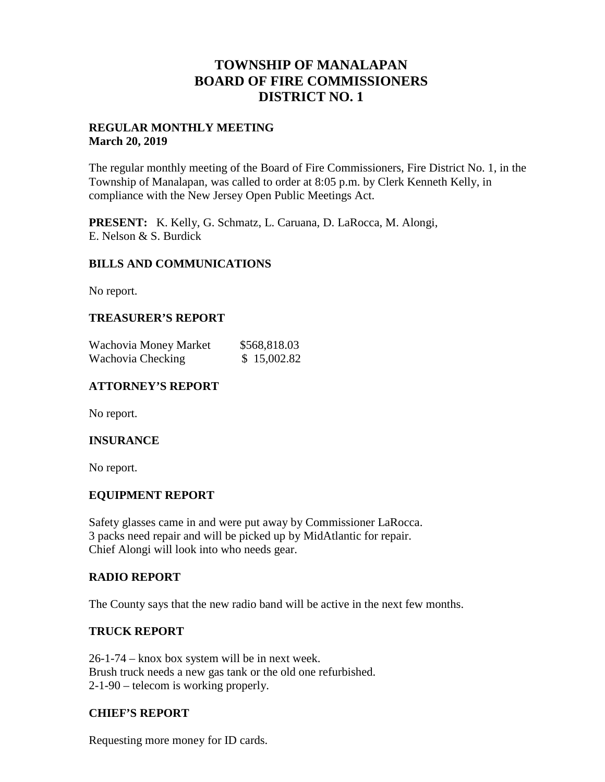## **TOWNSHIP OF MANALAPAN BOARD OF FIRE COMMISSIONERS DISTRICT NO. 1**

#### **REGULAR MONTHLY MEETING March 20, 2019**

The regular monthly meeting of the Board of Fire Commissioners, Fire District No. 1, in the Township of Manalapan, was called to order at 8:05 p.m. by Clerk Kenneth Kelly, in compliance with the New Jersey Open Public Meetings Act.

**PRESENT:** K. Kelly, G. Schmatz, L. Caruana, D. LaRocca, M. Alongi, E. Nelson & S. Burdick

#### **BILLS AND COMMUNICATIONS**

No report.

## **TREASURER'S REPORT**

| Wachovia Money Market | \$568,818.03 |
|-----------------------|--------------|
| Wachovia Checking     | \$15,002.82  |

## **ATTORNEY'S REPORT**

No report.

#### **INSURANCE**

No report.

#### **EQUIPMENT REPORT**

Safety glasses came in and were put away by Commissioner LaRocca. 3 packs need repair and will be picked up by MidAtlantic for repair. Chief Alongi will look into who needs gear.

#### **RADIO REPORT**

The County says that the new radio band will be active in the next few months.

#### **TRUCK REPORT**

26-1-74 – knox box system will be in next week. Brush truck needs a new gas tank or the old one refurbished. 2-1-90 – telecom is working properly.

## **CHIEF'S REPORT**

Requesting more money for ID cards.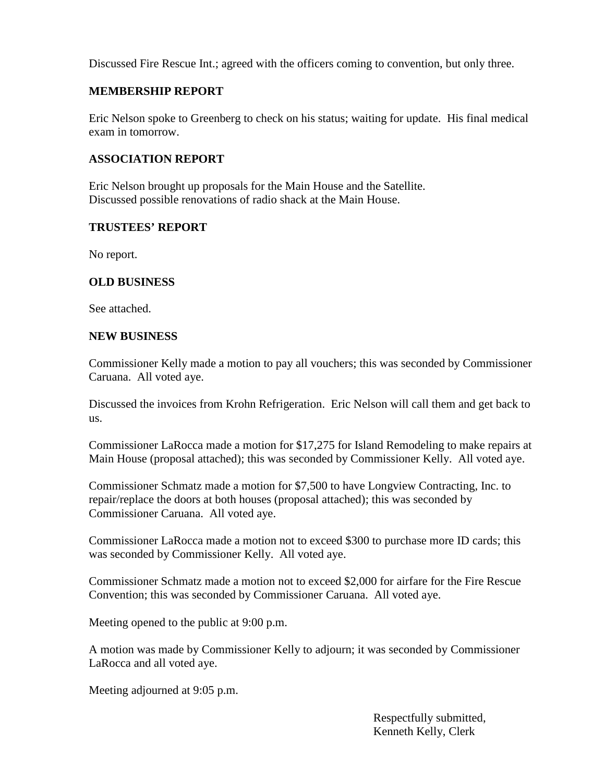Discussed Fire Rescue Int.; agreed with the officers coming to convention, but only three.

## **MEMBERSHIP REPORT**

Eric Nelson spoke to Greenberg to check on his status; waiting for update. His final medical exam in tomorrow.

## **ASSOCIATION REPORT**

Eric Nelson brought up proposals for the Main House and the Satellite. Discussed possible renovations of radio shack at the Main House.

#### **TRUSTEES' REPORT**

No report.

#### **OLD BUSINESS**

See attached.

#### **NEW BUSINESS**

Commissioner Kelly made a motion to pay all vouchers; this was seconded by Commissioner Caruana. All voted aye.

Discussed the invoices from Krohn Refrigeration. Eric Nelson will call them and get back to us.

Commissioner LaRocca made a motion for \$17,275 for Island Remodeling to make repairs at Main House (proposal attached); this was seconded by Commissioner Kelly. All voted aye.

Commissioner Schmatz made a motion for \$7,500 to have Longview Contracting, Inc. to repair/replace the doors at both houses (proposal attached); this was seconded by Commissioner Caruana. All voted aye.

Commissioner LaRocca made a motion not to exceed \$300 to purchase more ID cards; this was seconded by Commissioner Kelly. All voted aye.

Commissioner Schmatz made a motion not to exceed \$2,000 for airfare for the Fire Rescue Convention; this was seconded by Commissioner Caruana. All voted aye.

Meeting opened to the public at 9:00 p.m.

A motion was made by Commissioner Kelly to adjourn; it was seconded by Commissioner LaRocca and all voted aye.

Meeting adjourned at 9:05 p.m.

Respectfully submitted, Kenneth Kelly, Clerk